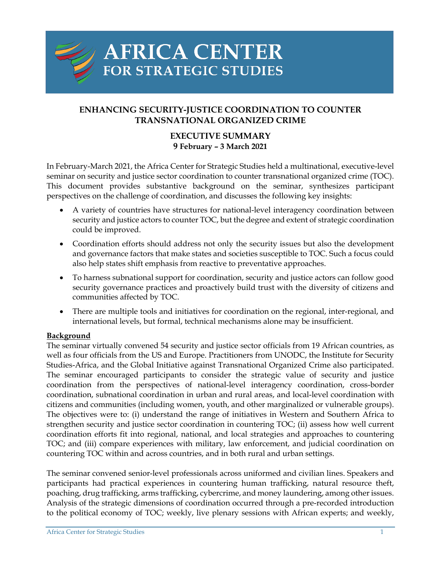

# **AFRICA CENTER** FOR STRATEGIC STUDIES

## **ENHANCING SECURITY-JUSTICE COORDINATION TO COUNTER TRANSNATIONAL ORGANIZED CRIME**

## **EXECUTIVE SUMMARY 9 February – 3 March 2021**

In February-March 2021, the Africa Center for Strategic Studies held a multinational, executive-level seminar on security and justice sector coordination to counter transnational organized crime (TOC). This document provides substantive background on the seminar, synthesizes participant perspectives on the challenge of coordination, and discusses the following key insights:

- A variety of countries have structures for national-level interagency coordination between security and justice actors to counter TOC, but the degree and extent of strategic coordination could be improved.
- Coordination efforts should address not only the security issues but also the development and governance factors that make states and societies susceptible to TOC. Such a focus could also help states shift emphasis from reactive to preventative approaches.
- To harness subnational support for coordination, security and justice actors can follow good security governance practices and proactively build trust with the diversity of citizens and communities affected by TOC.
- There are multiple tools and initiatives for coordination on the regional, inter-regional, and international levels, but formal, technical mechanisms alone may be insufficient.

## **Background**

The seminar virtually convened 54 security and justice sector officials from 19 African countries, as well as four officials from the US and Europe. Practitioners from UNODC, the Institute for Security Studies-Africa, and the Global Initiative against Transnational Organized Crime also participated. The seminar encouraged participants to consider the strategic value of security and justice coordination from the perspectives of national-level interagency coordination, cross-border coordination, subnational coordination in urban and rural areas, and local-level coordination with citizens and communities (including women, youth, and other marginalized or vulnerable groups). The objectives were to: (i) understand the range of initiatives in Western and Southern Africa to strengthen security and justice sector coordination in countering TOC; (ii) assess how well current coordination efforts fit into regional, national, and local strategies and approaches to countering TOC; and (iii) compare experiences with military, law enforcement, and judicial coordination on countering TOC within and across countries, and in both rural and urban settings.

The seminar convened senior-level professionals across uniformed and civilian lines. Speakers and participants had practical experiences in countering human trafficking, natural resource theft, poaching, drug trafficking, arms trafficking, cybercrime, and money laundering, among other issues. Analysis of the strategic dimensions of coordination occurred through a pre-recorded introduction to the political economy of TOC; weekly, live plenary sessions with African experts; and weekly,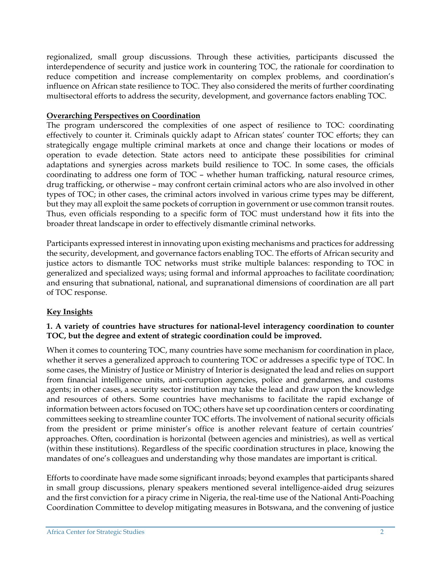regionalized, small group discussions. Through these activities, participants discussed the interdependence of security and justice work in countering TOC, the rationale for coordination to reduce competition and increase complementarity on complex problems, and coordination's influence on African state resilience to TOC. They also considered the merits of further coordinating multisectoral efforts to address the security, development, and governance factors enabling TOC.

#### **Overarching Perspectives on Coordination**

The program underscored the complexities of one aspect of resilience to TOC: coordinating effectively to counter it. Criminals quickly adapt to African states' counter TOC efforts; they can strategically engage multiple criminal markets at once and change their locations or modes of operation to evade detection. State actors need to anticipate these possibilities for criminal adaptations and synergies across markets build resilience to TOC. In some cases, the officials coordinating to address one form of TOC – whether human trafficking, natural resource crimes, drug trafficking, or otherwise – may confront certain criminal actors who are also involved in other types of TOC; in other cases, the criminal actors involved in various crime types may be different, but they may all exploit the same pockets of corruption in government or use common transit routes. Thus, even officials responding to a specific form of TOC must understand how it fits into the broader threat landscape in order to effectively dismantle criminal networks.

Participants expressed interest in innovating upon existing mechanisms and practices for addressing the security, development, and governance factors enabling TOC. The efforts of African security and justice actors to dismantle TOC networks must strike multiple balances: responding to TOC in generalized and specialized ways; using formal and informal approaches to facilitate coordination; and ensuring that subnational, national, and supranational dimensions of coordination are all part of TOC response.

## **Key Insights**

## **1. A variety of countries have structures for national-level interagency coordination to counter TOC, but the degree and extent of strategic coordination could be improved.**

When it comes to countering TOC, many countries have some mechanism for coordination in place, whether it serves a generalized approach to countering TOC or addresses a specific type of TOC. In some cases, the Ministry of Justice or Ministry of Interior is designated the lead and relies on support from financial intelligence units, anti-corruption agencies, police and gendarmes, and customs agents; in other cases, a security sector institution may take the lead and draw upon the knowledge and resources of others. Some countries have mechanisms to facilitate the rapid exchange of information between actors focused on TOC; others have set up coordination centers or coordinating committees seeking to streamline counter TOC efforts. The involvement of national security officials from the president or prime minister's office is another relevant feature of certain countries' approaches. Often, coordination is horizontal (between agencies and ministries), as well as vertical (within these institutions). Regardless of the specific coordination structures in place, knowing the mandates of one's colleagues and understanding why those mandates are important is critical.

Efforts to coordinate have made some significant inroads; beyond examples that participants shared in small group discussions, plenary speakers mentioned several intelligence-aided drug seizures and the first conviction for a piracy crime in Nigeria, the real-time use of the National Anti-Poaching Coordination Committee to develop mitigating measures in Botswana, and the convening of justice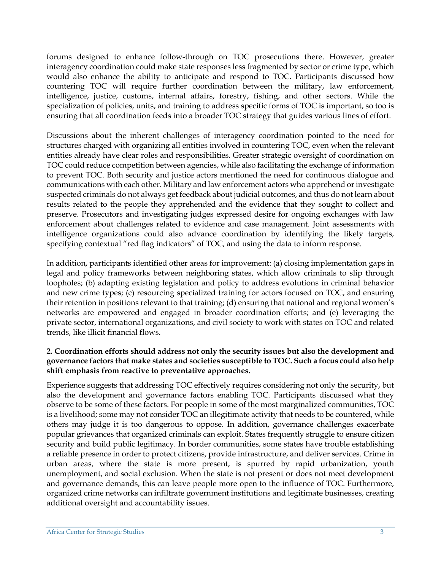forums designed to enhance follow-through on TOC prosecutions there. However, greater interagency coordination could make state responses less fragmented by sector or crime type, which would also enhance the ability to anticipate and respond to TOC. Participants discussed how countering TOC will require further coordination between the military, law enforcement, intelligence, justice, customs, internal affairs, forestry, fishing, and other sectors. While the specialization of policies, units, and training to address specific forms of TOC is important, so too is ensuring that all coordination feeds into a broader TOC strategy that guides various lines of effort.

Discussions about the inherent challenges of interagency coordination pointed to the need for structures charged with organizing all entities involved in countering TOC, even when the relevant entities already have clear roles and responsibilities. Greater strategic oversight of coordination on TOC could reduce competition between agencies, while also facilitating the exchange of information to prevent TOC. Both security and justice actors mentioned the need for continuous dialogue and communications with each other. Military and law enforcement actors who apprehend or investigate suspected criminals do not always get feedback about judicial outcomes, and thus do not learn about results related to the people they apprehended and the evidence that they sought to collect and preserve. Prosecutors and investigating judges expressed desire for ongoing exchanges with law enforcement about challenges related to evidence and case management. Joint assessments with intelligence organizations could also advance coordination by identifying the likely targets, specifying contextual "red flag indicators" of TOC, and using the data to inform response.

In addition, participants identified other areas for improvement: (a) closing implementation gaps in legal and policy frameworks between neighboring states, which allow criminals to slip through loopholes; (b) adapting existing legislation and policy to address evolutions in criminal behavior and new crime types; (c) resourcing specialized training for actors focused on TOC, and ensuring their retention in positions relevant to that training; (d) ensuring that national and regional women's networks are empowered and engaged in broader coordination efforts; and (e) leveraging the private sector, international organizations, and civil society to work with states on TOC and related trends, like illicit financial flows.

#### **2. Coordination efforts should address not only the security issues but also the development and governance factors that make states and societies susceptible to TOC. Such a focus could also help shift emphasis from reactive to preventative approaches.**

Experience suggests that addressing TOC effectively requires considering not only the security, but also the development and governance factors enabling TOC. Participants discussed what they observe to be some of these factors. For people in some of the most marginalized communities, TOC is a livelihood; some may not consider TOC an illegitimate activity that needs to be countered, while others may judge it is too dangerous to oppose. In addition, governance challenges exacerbate popular grievances that organized criminals can exploit. States frequently struggle to ensure citizen security and build public legitimacy. In border communities, some states have trouble establishing a reliable presence in order to protect citizens, provide infrastructure, and deliver services. Crime in urban areas, where the state is more present, is spurred by rapid urbanization, youth unemployment, and social exclusion. When the state is not present or does not meet development and governance demands, this can leave people more open to the influence of TOC. Furthermore, organized crime networks can infiltrate government institutions and legitimate businesses, creating additional oversight and accountability issues.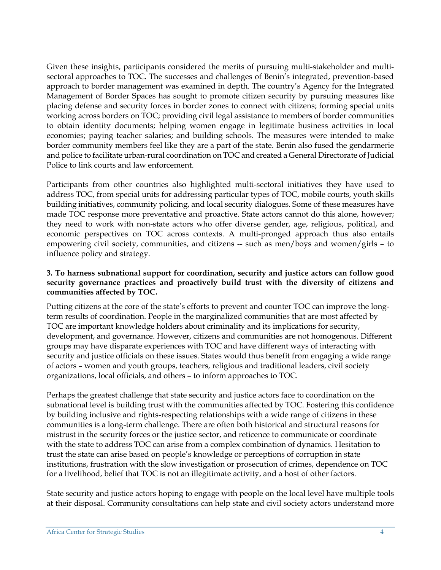Given these insights, participants considered the merits of pursuing multi-stakeholder and multisectoral approaches to TOC. The successes and challenges of Benin's integrated, prevention-based approach to border management was examined in depth. The country's Agency for the Integrated Management of Border Spaces has sought to promote citizen security by pursuing measures like placing defense and security forces in border zones to connect with citizens; forming special units working across borders on TOC; providing civil legal assistance to members of border communities to obtain identity documents; helping women engage in legitimate business activities in local economies; paying teacher salaries; and building schools. The measures were intended to make border community members feel like they are a part of the state. Benin also fused the gendarmerie and police to facilitate urban-rural coordination on TOC and created a General Directorate of Judicial Police to link courts and law enforcement.

Participants from other countries also highlighted multi-sectoral initiatives they have used to address TOC, from special units for addressing particular types of TOC, mobile courts, youth skills building initiatives, community policing, and local security dialogues. Some of these measures have made TOC response more preventative and proactive. State actors cannot do this alone, however; they need to work with non-state actors who offer diverse gender, age, religious, political, and economic perspectives on TOC across contexts. A multi-pronged approach thus also entails empowering civil society, communities, and citizens -- such as men/boys and women/girls – to influence policy and strategy.

#### **3. To harness subnational support for coordination, security and justice actors can follow good security governance practices and proactively build trust with the diversity of citizens and communities affected by TOC.**

Putting citizens at the core of the state's efforts to prevent and counter TOC can improve the longterm results of coordination. People in the marginalized communities that are most affected by TOC are important knowledge holders about criminality and its implications for security, development, and governance. However, citizens and communities are not homogenous. Different groups may have disparate experiences with TOC and have different ways of interacting with security and justice officials on these issues. States would thus benefit from engaging a wide range of actors – women and youth groups, teachers, religious and traditional leaders, civil society organizations, local officials, and others – to inform approaches to TOC.

Perhaps the greatest challenge that state security and justice actors face to coordination on the subnational level is building trust with the communities affected by TOC. Fostering this confidence by building inclusive and rights-respecting relationships with a wide range of citizens in these communities is a long-term challenge. There are often both historical and structural reasons for mistrust in the security forces or the justice sector, and reticence to communicate or coordinate with the state to address TOC can arise from a complex combination of dynamics. Hesitation to trust the state can arise based on people's knowledge or perceptions of corruption in state institutions, frustration with the slow investigation or prosecution of crimes, dependence on TOC for a livelihood, belief that TOC is not an illegitimate activity, and a host of other factors.

State security and justice actors hoping to engage with people on the local level have multiple tools at their disposal. Community consultations can help state and civil society actors understand more